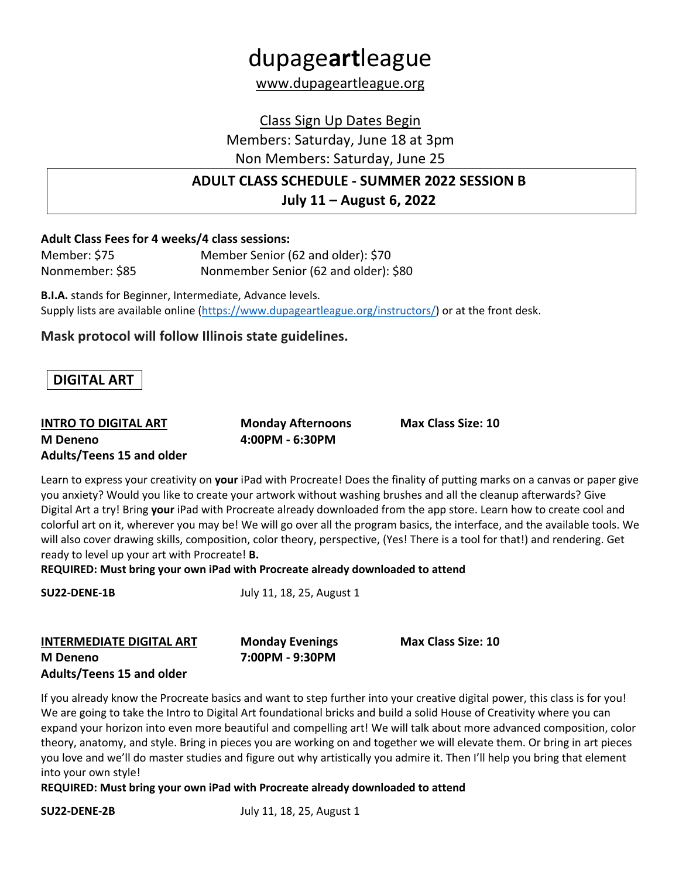# dupage**art**league www.dupageartleague.org

Class Sign Up Dates Begin Members: Saturday, June 18 at 3pm

Non Members: Saturday, June 25

### **ADULT CLASS SCHEDULE - SUMMER 2022 SESSION B July 11 – August 6, 2022**

#### **Adult Class Fees for 4 weeks/4 class sessions:**

| Member: \$75    | Member Senior (62 and older): \$70    |
|-----------------|---------------------------------------|
| Nonmember: \$85 | Nonmember Senior (62 and older): \$80 |

**B.I.A.** stands for Beginner, Intermediate, Advance levels. Supply lists are available online (https://www.dupageartleague.org/instructors/) or at the front desk.

#### **Mask protocol will follow Illinois state guidelines.**

### **DIGITAL ART**

#### **INTRO TO DIGITAL ART Monday Afternoons Max Class Size: 10 M Deneno 4:00PM - 6:30PM Adults/Teens 15 and older**

Learn to express your creativity on **your** iPad with Procreate! Does the finality of putting marks on a canvas or paper give you anxiety? Would you like to create your artwork without washing brushes and all the cleanup afterwards? Give Digital Art a try! Bring **your** iPad with Procreate already downloaded from the app store. Learn how to create cool and colorful art on it, wherever you may be! We will go over all the program basics, the interface, and the available tools. We will also cover drawing skills, composition, color theory, perspective, (Yes! There is a tool for that!) and rendering. Get ready to level up your art with Procreate! **B.**

**REQUIRED: Must bring your own iPad with Procreate already downloaded to attend**

| <b>SU22-DENE-1B</b> | July 11, 18, 25, August 1 |  |  |
|---------------------|---------------------------|--|--|
|                     |                           |  |  |
|                     |                           |  |  |

| <b>INTERMEDIATE DIGITAL ART</b>  | <b>Monday Evenings</b> | <b>Max Class Size: 10</b> |
|----------------------------------|------------------------|---------------------------|
| M Deneno                         | 7:00PM - 9:30PM        |                           |
| <b>Adults/Teens 15 and older</b> |                        |                           |

If you already know the Procreate basics and want to step further into your creative digital power, this class is for you! We are going to take the Intro to Digital Art foundational bricks and build a solid House of Creativity where you can expand your horizon into even more beautiful and compelling art! We will talk about more advanced composition, color theory, anatomy, and style. Bring in pieces you are working on and together we will elevate them. Or bring in art pieces you love and we'll do master studies and figure out why artistically you admire it. Then I'll help you bring that element into your own style!

**REQUIRED: Must bring your own iPad with Procreate already downloaded to attend**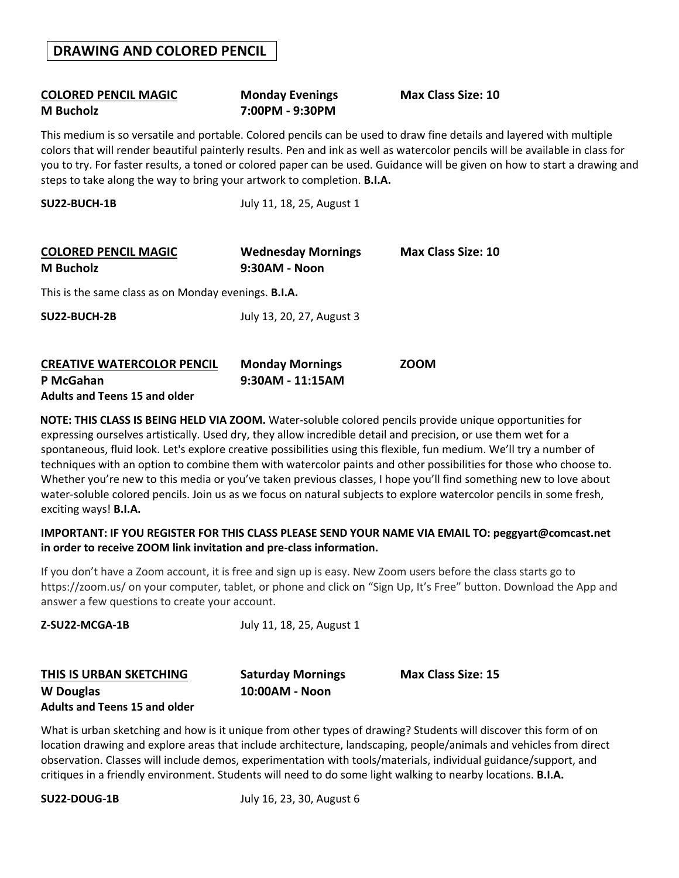## **COLORED PENCIL MAGIC Monday Evenings Max Class Size: 10 M Bucholz 7:00PM - 9:30PM**

This medium is so versatile and portable. Colored pencils can be used to draw fine details and layered with multiple colors that will render beautiful painterly results. Pen and ink as well as watercolor pencils will be available in class for you to try. For faster results, a toned or colored paper can be used. Guidance will be given on how to start a drawing and steps to take along the way to bring your artwork to completion. **B.I.A.**

| <b>SU22-BUCH-1B</b>                                         | July 11, 18, 25, August 1                  |                           |
|-------------------------------------------------------------|--------------------------------------------|---------------------------|
| <b>COLORED PENCIL MAGIC</b><br>M Bucholz                    | <b>Wednesday Mornings</b><br>9:30AM - Noon | <b>Max Class Size: 10</b> |
| This is the same class as on Monday evenings. <b>B.I.A.</b> |                                            |                           |
| SU22-BUCH-2B                                                | July 13, 20, 27, August 3                  |                           |
| <b>CREATIVE WATERCOLOR PENCIL</b><br>P McGahan              | <b>Monday Mornings</b><br>9:30AM - 11:15AM | <b>ZOOM</b>               |

**Adults and Teens 15 and older**

**NOTE: THIS CLASS IS BEING HELD VIA ZOOM.** Water-soluble colored pencils provide unique opportunities for expressing ourselves artistically. Used dry, they allow incredible detail and precision, or use them wet for a spontaneous, fluid look. Let's explore creative possibilities using this flexible, fun medium. We'll try a number of techniques with an option to combine them with watercolor paints and other possibilities for those who choose to. Whether you're new to this media or you've taken previous classes, I hope you'll find something new to love about water-soluble colored pencils. Join us as we focus on natural subjects to explore watercolor pencils in some fresh, exciting ways! **B.I.A.** 

#### **IMPORTANT: IF YOU REGISTER FOR THIS CLASS PLEASE SEND YOUR NAME VIA EMAIL TO: peggyart@comcast.net in order to receive ZOOM link invitation and pre-class information.**

If you don't have a Zoom account, it is free and sign up is easy. New Zoom users before the class starts go to https://zoom.us/ on your computer, tablet, or phone and click on "Sign Up, It's Free" button. Download the App and answer a few questions to create your account.

| THIS IS URBAN SKETCHING | <b>Saturday Mornings</b> | <b>Max Class Size: 15</b> |
|-------------------------|--------------------------|---------------------------|
| W Douglas               | 10:00AM - Noon           |                           |

**Z-SU22-MCGA-1B** July 11, 18, 25, August 1

### **Adults and Teens 15 and older**

What is urban sketching and how is it unique from other types of drawing? Students will discover this form of on location drawing and explore areas that include architecture, landscaping, people/animals and vehicles from direct observation. Classes will include demos, experimentation with tools/materials, individual guidance/support, and critiques in a friendly environment. Students will need to do some light walking to nearby locations. **B.I.A.**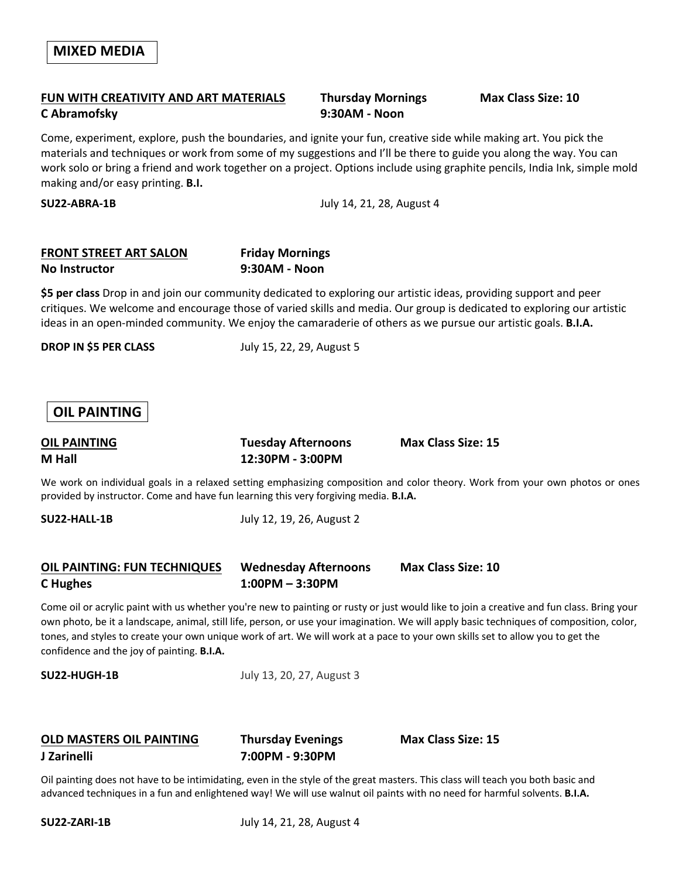#### **FUN WITH CREATIVITY AND ART MATERIALS Thursday Mornings Max Class Size: 10 C Abramofsky 9:30AM - Noon**

Come, experiment, explore, push the boundaries, and ignite your fun, creative side while making art. You pick the materials and techniques or work from some of my suggestions and I'll be there to guide you along the way. You can work solo or bring a friend and work together on a project. Options include using graphite pencils, India Ink, simple mold making and/or easy printing. **B.I.**

**SU22-ABRA-1B** July 14, 21, 28, August 4

#### **FRONT STREET ART SALON Friday Mornings No Instructor 9:30AM - Noon**

**\$5 per class** Drop in and join our community dedicated to exploring our artistic ideas, providing support and peer critiques. We welcome and encourage those of varied skills and media. Our group is dedicated to exploring our artistic ideas in an open-minded community. We enjoy the camaraderie of others as we pursue our artistic goals. **B.I.A.**

**DROP IN \$5 PER CLASS** July 15, 22, 29, August 5

#### **OIL PAINTING**

**M Hall 12:30PM - 3:00PM**

**OIL PAINTING Tuesday Afternoons Max Class Size: 15**

We work on individual goals in a relaxed setting emphasizing composition and color theory. Work from your own photos or ones provided by instructor. Come and have fun learning this very forgiving media. **B.I.A.**

**SU22-HALL-1B** July 12, 19, 26, August 2

#### **OIL PAINTING: FUN TECHNIQUES Wednesday Afternoons Max Class Size: 10 C Hughes 1:00PM – 3:30PM**

Come oil or acrylic paint with us whether you're new to painting or rusty or just would like to join a creative and fun class. Bring your own photo, be it a landscape, animal, still life, person, or use your imagination. We will apply basic techniques of composition, color, tones, and styles to create your own unique work of art. We will work at a pace to your own skills set to allow you to get the confidence and the joy of painting. **B.I.A.**

**SU22-HUGH-1B** July 13, 20, 27, August 3

#### **OLD MASTERS OIL PAINTING Thursday Evenings Max Class Size: 15 J Zarinelli 7:00PM - 9:30PM**

Oil painting does not have to be intimidating, even in the style of the great masters. This class will teach you both basic and advanced techniques in a fun and enlightened way! We will use walnut oil paints with no need for harmful solvents. **B.I.A.**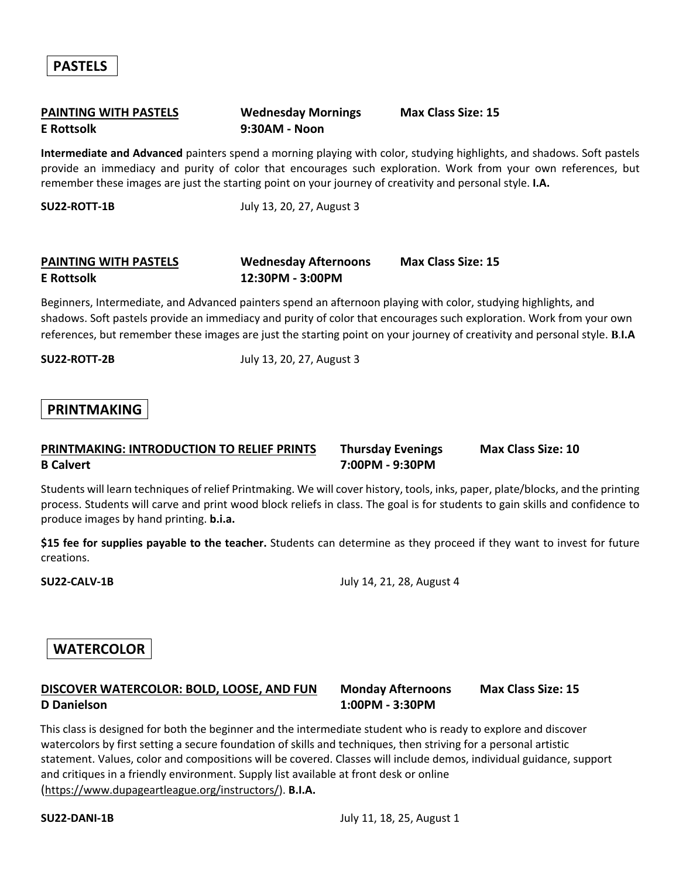#### **PAINTING WITH PASTELS Wednesday Mornings Max Class Size: 15 E Rottsolk 9:30AM - Noon**

**Intermediate and Advanced** painters spend a morning playing with color, studying highlights, and shadows. Soft pastels provide an immediacy and purity of color that encourages such exploration. Work from your own references, but remember these images are just the starting point on your journey of creativity and personal style. **I.A.**

**SU22-ROTT-1B** July 13, 20, 27, August 3

### **PAINTING WITH PASTELS Wednesday Afternoons Max Class Size: 15 E Rottsolk 12:30PM - 3:00PM**

Beginners, Intermediate, and Advanced painters spend an afternoon playing with color, studying highlights, and shadows. Soft pastels provide an immediacy and purity of color that encourages such exploration. Work from your own references, but remember these images are just the starting point on your journey of creativity and personal style. **B**.**I.A**

**SU22-ROTT-2B** July 13, 20, 27, August 3

#### **PRINTMAKING**

#### **PRINTMAKING: INTRODUCTION TO RELIEF PRINTS Thursday Evenings Max Class Size: 10 B Calvert 7:00PM - 9:30PM**

Students will learn techniques of relief Printmaking. We will cover history, tools, inks, paper, plate/blocks, and the printing process. Students will carve and print wood block reliefs in class. The goal is for students to gain skills and confidence to produce images by hand printing. **b.i.a.**

**\$15 fee for supplies payable to the teacher.** Students can determine as they proceed if they want to invest for future creations.

**SU22-CALV-1B** July 14, 21, 28, August 4

#### **WATERCOLOR**

#### **DISCOVER WATERCOLOR: BOLD, LOOSE, AND FUN Monday Afternoons Max Class Size: 15 D Danielson 1:00PM - 3:30PM**

This class is designed for both the beginner and the intermediate student who is ready to explore and discover watercolors by first setting a secure foundation of skills and techniques, then striving for a personal artistic statement. Values, color and compositions will be covered. Classes will include demos, individual guidance, support and critiques in a friendly environment. Supply list available at front desk or online (https://www.dupageartleague.org/instructors/). **B.I.A.**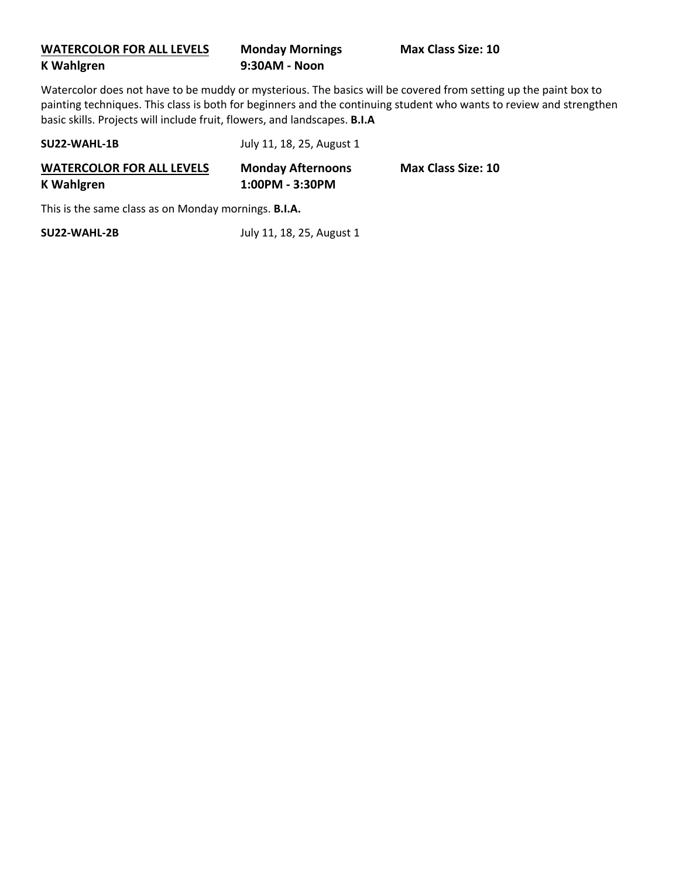#### **WATERCOLOR FOR ALL LEVELS Monday Mornings Max Class Size: 10 K Wahlgren 9:30AM - Noon**

Watercolor does not have to be muddy or mysterious. The basics will be covered from setting up the paint box to painting techniques. This class is both for beginners and the continuing student who wants to review and strengthen basic skills. Projects will include fruit, flowers, and landscapes. **B.I.A**

| SU22-WAHL-1B                                          | July 11, 18, 25, August 1                   |                           |
|-------------------------------------------------------|---------------------------------------------|---------------------------|
| <b>WATERCOLOR FOR ALL LEVELS</b><br><b>K</b> Wahlgren | <b>Monday Afternoons</b><br>1:00PM - 3:30PM | <b>Max Class Size: 10</b> |

This is the same class as on Monday mornings. **B.I.A.**

**SU22-WAHL-2B** July 11, 18, 25, August 1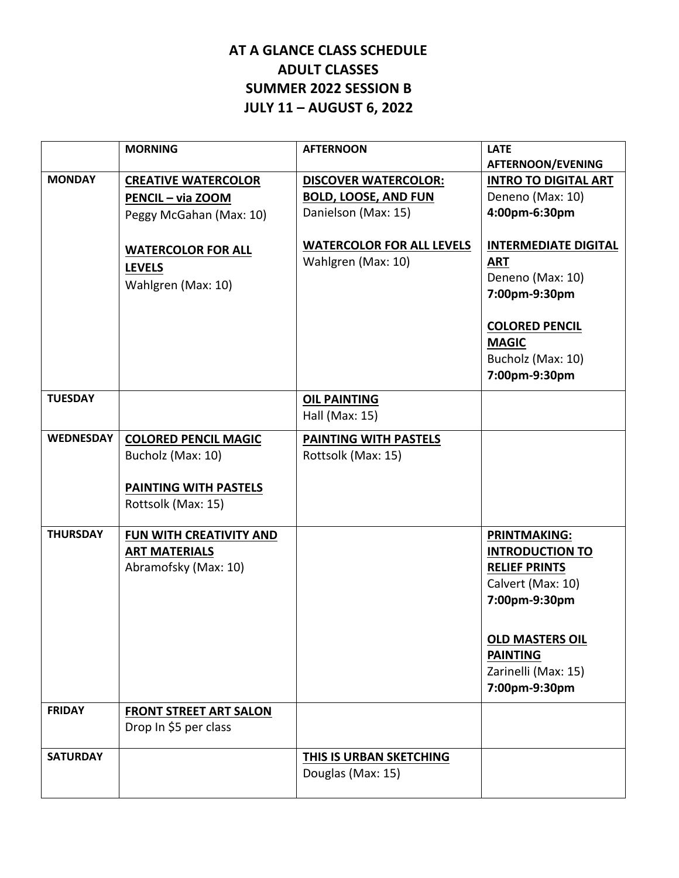### **AT A GLANCE CLASS SCHEDULE ADULT CLASSES SUMMER 2022 SESSION B JULY 11 – AUGUST 6, 2022**

|                  | <b>MORNING</b>                | <b>AFTERNOON</b>                 | <b>LATE</b>                 |
|------------------|-------------------------------|----------------------------------|-----------------------------|
|                  |                               |                                  | AFTERNOON/EVENING           |
| <b>MONDAY</b>    | <b>CREATIVE WATERCOLOR</b>    | <b>DISCOVER WATERCOLOR:</b>      | <b>INTRO TO DIGITAL ART</b> |
|                  | PENCIL - via ZOOM             | <b>BOLD, LOOSE, AND FUN</b>      | Deneno (Max: 10)            |
|                  | Peggy McGahan (Max: 10)       | Danielson (Max: 15)              | 4:00pm-6:30pm               |
|                  | <b>WATERCOLOR FOR ALL</b>     | <b>WATERCOLOR FOR ALL LEVELS</b> | <b>INTERMEDIATE DIGITAL</b> |
|                  | <b>LEVELS</b>                 | Wahlgren (Max: 10)               | <b>ART</b>                  |
|                  | Wahlgren (Max: 10)            |                                  | Deneno (Max: 10)            |
|                  |                               |                                  | 7:00pm-9:30pm               |
|                  |                               |                                  | <b>COLORED PENCIL</b>       |
|                  |                               |                                  | <b>MAGIC</b>                |
|                  |                               |                                  | Bucholz (Max: 10)           |
|                  |                               |                                  | 7:00pm-9:30pm               |
| <b>TUESDAY</b>   |                               | <b>OIL PAINTING</b>              |                             |
|                  |                               | Hall (Max: 15)                   |                             |
| <b>WEDNESDAY</b> | <b>COLORED PENCIL MAGIC</b>   | PAINTING WITH PASTELS            |                             |
|                  | Bucholz (Max: 10)             | Rottsolk (Max: 15)               |                             |
|                  | PAINTING WITH PASTELS         |                                  |                             |
|                  | Rottsolk (Max: 15)            |                                  |                             |
| <b>THURSDAY</b>  | FUN WITH CREATIVITY AND       |                                  | <b>PRINTMAKING:</b>         |
|                  | <b>ART MATERIALS</b>          |                                  | <b>INTRODUCTION TO</b>      |
|                  | Abramofsky (Max: 10)          |                                  | <b>RELIEF PRINTS</b>        |
|                  |                               |                                  | Calvert (Max: 10)           |
|                  |                               |                                  | 7:00pm-9:30pm               |
|                  |                               |                                  | <b>OLD MASTERS OIL</b>      |
|                  |                               |                                  | <b>PAINTING</b>             |
|                  |                               |                                  | Zarinelli (Max: 15)         |
|                  |                               |                                  | 7:00pm-9:30pm               |
| <b>FRIDAY</b>    | <b>FRONT STREET ART SALON</b> |                                  |                             |
|                  | Drop In \$5 per class         |                                  |                             |
|                  |                               |                                  |                             |
| <b>SATURDAY</b>  |                               | <b>THIS IS URBAN SKETCHING</b>   |                             |
|                  |                               | Douglas (Max: 15)                |                             |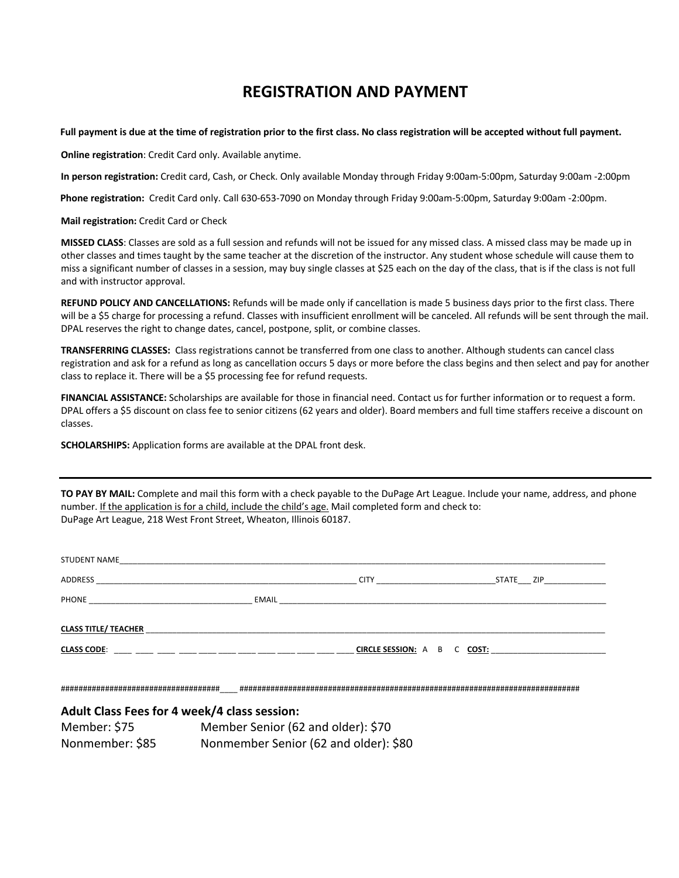### **REGISTRATION AND PAYMENT**

**Full payment is due at the time of registration prior to the first class. No class registration will be accepted without full payment.** 

**Online registration**: Credit Card only. Available anytime.

**In person registration:** Credit card, Cash, or Check. Only available Monday through Friday 9:00am-5:00pm, Saturday 9:00am -2:00pm

**Phone registration:** Credit Card only. Call 630-653-7090 on Monday through Friday 9:00am-5:00pm, Saturday 9:00am -2:00pm.

**Mail registration:** Credit Card or Check

**MISSED CLASS**: Classes are sold as a full session and refunds will not be issued for any missed class. A missed class may be made up in other classes and times taught by the same teacher at the discretion of the instructor. Any student whose schedule will cause them to miss a significant number of classes in a session, may buy single classes at \$25 each on the day of the class, that is if the class is not full and with instructor approval.

**REFUND POLICY AND CANCELLATIONS:** Refunds will be made only if cancellation is made 5 business days prior to the first class. There will be a \$5 charge for processing a refund. Classes with insufficient enrollment will be canceled. All refunds will be sent through the mail. DPAL reserves the right to change dates, cancel, postpone, split, or combine classes.

**TRANSFERRING CLASSES:** Class registrations cannot be transferred from one class to another. Although students can cancel class registration and ask for a refund as long as cancellation occurs 5 days or more before the class begins and then select and pay for another class to replace it. There will be a \$5 processing fee for refund requests.

**FINANCIAL ASSISTANCE:** Scholarships are available for those in financial need. Contact us for further information or to request a form. DPAL offers a \$5 discount on class fee to senior citizens (62 years and older). Board members and full time staffers receive a discount on classes.

**SCHOLARSHIPS:** Application forms are available at the DPAL front desk.

**TO PAY BY MAIL:** Complete and mail this form with a check payable to the DuPage Art League. Include your name, address, and phone number. If the application is for a child, include the child's age. Mail completed form and check to: DuPage Art League, 218 West Front Street, Wheaton, Illinois 60187.

|                             | STUDENT NAME                                                                                                    |  |           |
|-----------------------------|-----------------------------------------------------------------------------------------------------------------|--|-----------|
|                             |                                                                                                                 |  | STATE ZIP |
|                             |                                                                                                                 |  |           |
|                             | CLASS TITLE/ TEACHER AND THE RESIDENCE OF THE RESIDENCE OF THE RESIDENCE OF THE RESIDENCE OF THE RESIDENCE OF T |  |           |
| CIRCLE SESSION: A B C COST: |                                                                                                                 |  |           |
|                             |                                                                                                                 |  |           |
|                             | <b>Adult Class Fees for 4 week/4 class session:</b>                                                             |  |           |
|                             | Member: \$75 Member Senior (62 and older): \$70                                                                 |  |           |
|                             | . 122                                                                                                           |  |           |

Nonmember: \$85 Nonmember Senior (62 and older): \$80